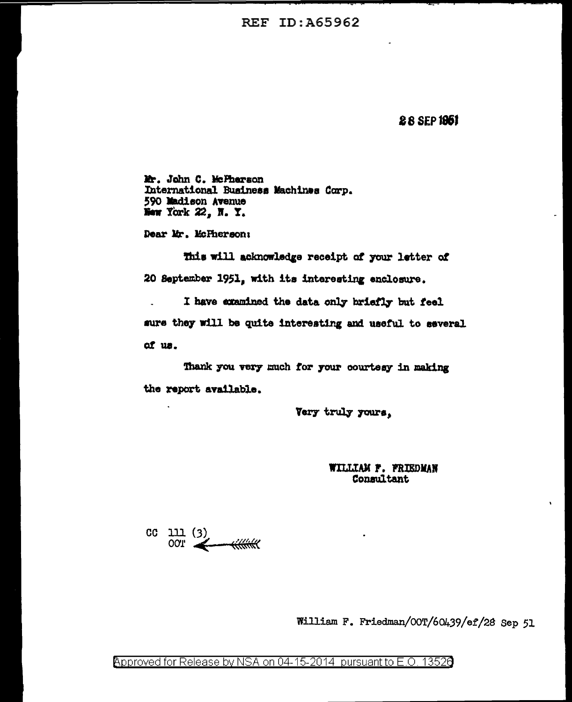**REF ID: A65962** 

28 SEP 1961

Mr. John C. McPherson International Business Machines Corp. 590 Madison Avenue New York 22, N. Y.

Dear Mr. McPherson:

This will acknowledge receipt of your letter of 20 September 1951, with its interesting enclosure.

I have examined the data only briefly but feel sure they will be quite interesting and useful to several of us.

Thank you very much for your courtesy in making the report available.

Very truly yours.

WILLIAM F. FRIEDMAN Consultant

 $CC$  111 (3) **OOT** 

William F. Friedman/OOT/60439/ef/28 Sep 51

Approved for Release by NSA on 04-15-2014 pursuant to E.O. 13526